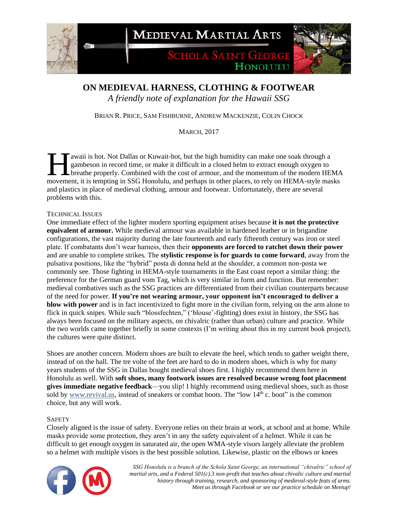**MEDIEVAL MARTIAL ARTS** 

**SCHOLA SAINT GEORGE** HONOLULU

## **ON MEDIEVAL HARNESS, CLOTHING & FOOTWEAR**

*A friendly note of explanation for the Hawaii SSG*

BRIAN R. PRICE, SAM FISHBURNE, ANDREW MACKENZIE, COLIN CHOCK

MARCH, 2017

awaii is hot. Not Dallas or Kuwait-hot, but the high humidity can make one soak through a gambeson in record time, or make it difficult in a closed helm to extract enough oxygen to **L** breathe properly. Combined with the cost of armour, and the momentum of the modern HEMA awaii is hot. Not Dallas or Kuwait-hot, but the high humidity can make one soak through a gambeson in record time, or make it difficult in a closed helm to extract enough oxygen to breathe properly. Combined with the cost and plastics in place of medieval clothing, armour and footwear. Unfortunately, there are several problems with this.

#### TECHNICAL ISSUES

One immediate effect of the lighter modern sporting equipment arises because **it is not the protective equivalent of armour.** While medieval armour was available in hardened leather or in brigandine configurations, the vast majority during the late fourteenth and early fifteenth century was iron or steel plate. If combatants don't wear harness, then their **opponents are forced to ratchet down their power** and are unable to complete strikes. The **stylistic response is for guards to come forward**, away from the pulsativa positions, like the "hybrid" posta di donna held at the shoulder, a common non-posta we commonly see. Those fighting in HEMA-style tournaments in the East coast report a similar thing: the preference for the German guard vom Tag, which is very similar in form and function. But remember: medieval combatives such as the SSG practices are differentiated from their civilian counterparts because of the need for power. **If you're not wearing armour, your opponent isn't encouraged to deliver a blow with power** and is in fact incentivized to fight more in the civilian form, relying on the arm alone to flick in quick snipes. While such "blossfechten," ('blouse'-fighting) does exist in history, the SSG has always been focused on the military aspects, on chivalric (rather than urban) culture and practice. While the two worlds came together briefly in some contexts (I'm writing about this in my current book project), the cultures were quite distinct.

Shoes are another concern. Modern shoes are built to elevate the heel, which tends to gather weight there, instead of on the ball. The tre volte of the feet are hard to do in modern shoes, which is why for many years students of the SSG in Dallas bought medieval shoes first. I highly recommend them here in Honolulu as well. With **soft shoes, many footwork issues are resolved because wrong foot placement gives immediate negative feedback**—you slip! I highly recommend using medieval shoes, such as those sold by [www.revival.us,](http://www.revival.us/) instead of sneakers or combat boots. The "low 14<sup>th</sup> c. boot" is the common choice, but any will work.

#### **SAFETY**

Closely aligned is the issue of safety. Everyone relies on their brain at work, at school and at home. While masks provide some protection, they aren't in any the safety equivalent of a helmet. While it can be difficult to get enough oxygen in saturated air, the open WMA-style visors largely alleviate the problem so a helmet with multiple visors is the best possible solution. Likewise, plastic on the elbows or knees

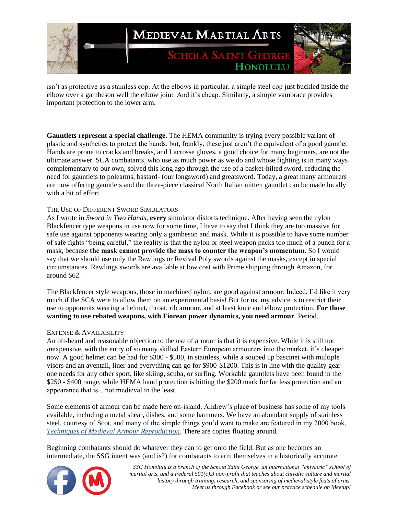

isn't as protective as a stainless cop. At the elbows in particular, a simple steel cop just buckled inside the elbow over a gambeson well the elbow joint. And it's cheap. Similarly, a simple vambrace provides important protection to the lower arm.

**Gauntlets represent a special challenge**. The HEMA community is trying every possible variant of plastic and synthetics to protect the hands, but, frankly, these just aren't the equivalent of a good gauntlet. Hands are prone to cracks and breaks, and Lacrosse gloves, a good choice for many beginners, are not the ultimate answer. SCA combatants, who use as much power as we do and whose fighting is in many ways complementary to our own, solved this long ago through the use of a basket-hilted sword, reducing the need for gauntlets to polearms, bastard- (our longsword) and greatsword. Today, a great many armourers are now offering gauntlets and the three-piece classical North Italian mitten gauntlet can be made locally with a bit of effort.

#### THE USE OF DIFFERENT SWORD SIMULATORS

As I wrote in *Sword in Two Hands*, **every** simulator distorts technique. After having seen the nylon Blackfencer type weapons in use now for some time, I have to say that I think they are too massive for safe use against opponents wearing only a gambeson and mask. While it is possible to have some number of safe fights "being careful," the reality is that the nylon or steel weapon packs too much of a punch for a mask, because **the mask cannot provide the mass to counter the weapon's momentum**. So I would say that we should use only the Rawlings or Revival Poly swords against the masks, except in special circumstances. Rawlings swords are available at low cost with Prime shipping through Amazon, for around \$62.

The Blackfencer style weapons, those in machined nylon, are good against armour. Indeed, I'd like it very much if the SCA were to allow them on an experimental basis! But for us, my advice is to restrict their use to opponents wearing a helmet, throat, rib armour, and at least knee and elbow protection. **For those wanting to use rebated weapons, with Fiorean power dynamics, you need armour**. Period.

#### EXPENSE & AVAILABILITY

An oft-heard and reasonable objection to the use of armour is that it is expensive. While it is still not *inexpensive, with the entry of so many skilled Eastern European armourers into the market, it's cheaper* now. A good helmet can be had for \$300 - \$500, in stainless, while a souped up bascinet with multiple visors and an aventail, liner and everything can go for \$900-\$1200. This is in line with the quality gear one needs for any other sport, like skiing, scuba, or surfing. Workable gauntlets have been found in the \$250 - \$400 range, while HEMA hand protection is hitting the \$200 mark for far less protection and an appearance that is…not medieval in the least.

Some elements of armour can be made here on-island. Andrew's place of business has some of my tools available, including a metal shear, dishes, and some hammers. We have an abundant supply of stainless steel, courtesy of Scot, and many of the simple things you'd want to make are featured in my 2000 book, *[Techniques of Medieval Armour Reproduction](https://smile.amazon.com/Techniques-Medieval-Armour-Reproduction-Century/dp/1581605366/ref=sr_1_1?ie=UTF8&qid=1489023222&sr=8-1&keywords=techniques+of+medieval+armour+reproduction)*. There are copies floating around.

Beginning combatants should do whatever they can to get onto the field. But as one becomes an intermediate, the SSG intent was (and is?) for combatants to arm themselves in a historically accurate

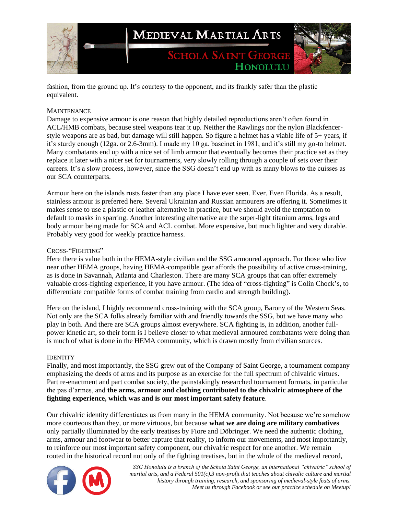

fashion, from the ground up. It's courtesy to the opponent, and its frankly safer than the plastic equivalent.

#### **MAINTENANCE**

Damage to expensive armour is one reason that highly detailed reproductions aren't often found in ACL/HMB combats, because steel weapons tear it up. Neither the Rawlings nor the nylon Blackfencerstyle weapons are as bad, but damage will still happen. So figure a helmet has a viable life of 5+ years, if it's sturdy enough (12ga. or 2.6-3mm). I made my 10 ga. bascinet in 1981, and it's still my go-to helmet. Many combatants end up with a nice set of limb armour that eventually becomes their practice set as they replace it later with a nicer set for tournaments, very slowly rolling through a couple of sets over their careers. It's a slow process, however, since the SSG doesn't end up with as many blows to the cuisses as our SCA counterparts.

Armour here on the islands rusts faster than any place I have ever seen. Ever. Even Florida. As a result, stainless armour is preferred here. Several Ukrainian and Russian armourers are offering it. Sometimes it makes sense to use a plastic or leather alternative in practice, but we should avoid the temptation to default to masks in sparring. Another interesting alternative are the super-light titanium arms, legs and body armour being made for SCA and ACL combat. More expensive, but much lighter and very durable. Probably very good for weekly practice harness.

#### CROSS-"FIGHTING"

Here there is value both in the HEMA-style civilian and the SSG armoured approach. For those who live near other HEMA groups, having HEMA-compatible gear affords the possibility of active cross-training, as is done in Savannah, Atlanta and Charleston. There are many SCA groups that can offer extremely valuable cross-fighting experience, if you have armour. (The idea of "cross-fighting" is Colin Chock's, to differentiate compatible forms of combat training from cardio and strength building).

Here on the island, I highly recommend cross-training with the SCA group, Barony of the Western Seas. Not only are the SCA folks already familiar with and friendly towards the SSG, but we have many who play in both. And there are SCA groups almost everywhere. SCA fighting is, in addition, another fullpower kinetic art, so their form is I believe closer to what medieval armoured combatants were doing than is much of what is done in the HEMA community, which is drawn mostly from civilian sources.

#### **IDENTITY**

Finally, and most importantly, the SSG grew out of the Company of Saint George, a tournament company emphasizing the deeds of arms and its purpose as an exercise for the full spectrum of chivalric virtues. Part re-enactment and part combat society, the painstakingly researched tournament formats, in particular the pas d'armes, and **the arms, armour and clothing contributed to the chivalric atmosphere of the fighting experience, which was and is our most important safety feature**.

Our chivalric identity differentiates us from many in the HEMA community. Not because we're somehow more courteous than they, or more virtuous, but because **what we are doing are military combatives** only partially illuminated by the early treatises by Fiore and Döbringer. We need the authentic clothing, arms, armour and footwear to better capture that reality, to inform our movements, and most importantly, to reinforce our most important safety component, our chivalric respect for one another. We remain rooted in the historical record not only of the fighting treatises, but in the whole of the medieval record,

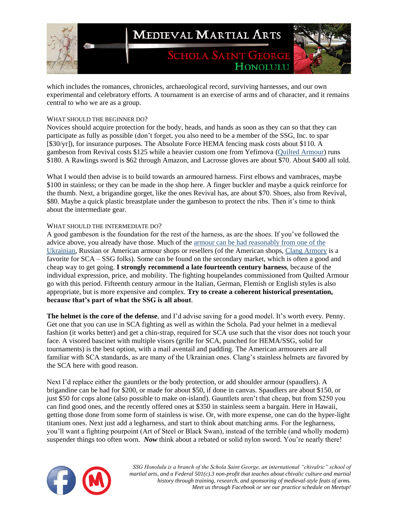

which includes the romances, chronicles, archaeological record, surviving harnesses, and our own experimental and celebratory efforts. A tournament is an exercise of arms and of character, and it remains central to who we are as a group.

### WHAT SHOULD THE BEGINNER DO?

Novices should acquire protection for the body, heads, and hands as soon as they can so that they can participate as fully as possible (don't forget, you also need to be a member of the SSG, Inc. to spar [\$30/yr]), for insurance purposes. The Absolute Force HEMA fencing mask costs about \$110. A gambeson from Revival costs \$125 while a heavier custom one from Yefimova [\(Quilted Armour\)](https://www.facebook.com/groups/quiltedarmour/) runs \$180. A Rawlings sword is \$62 through Amazon, and Lacrosse gloves are about \$70. About \$400 all told.

What I would then advise is to build towards an armoured harness. First elbows and vambraces, maybe \$100 in stainless; or they can be made in the shop here. A finger buckler and maybe a quick reinforce for the thumb. Next, a brigandine gorget, like the ones Revival has, are about \$70. Shoes, also from Revival, \$80. Maybe a quick plastic breastplate under the gambeson to protect the ribs. Then it's time to think about the intermediate gear.

### WHAT SHOULD THE INTERMEDIATE DO?

A good gambeson is the foundation for the rest of the harness, as are the shoes. If you've followed the advice above, you already have those. Much of the [armour can be had reasonably from one of the](https://www.facebook.com/download/preview/319201951809454)  [Ukrainian,](https://www.facebook.com/download/preview/319201951809454) Russian or American armour shops or resellers (of the American shops, [Clang Armory](http://www.clangarmory.com/) is a favorite for SCA – SSG folks). Some can be found on the secondary market, which is often a good and cheap way to get going. **I strongly recommend a late fourteenth century harness**, because of the individual expression, price, and mobility. The fighting houpelandes commissioned from Quilted Armour go with this period. Fifteenth century armour in the Italian, German, Flemish or English styles is also appropriate, but is more expensive and complex. **Try to create a coherent historical presentation, because that's part of what the SSG is all about**.

**The helmet is the core of the defense**, and I'd advise saving for a good model. It's worth every. Penny. Get one that you can use in SCA fighting as well as within the Schola. Pad your helmet in a medieval fashion (it works better) and get a chin-strap, required for SCA use such that the visor does not touch your face. A visored bascinet with multiple visors (grille for SCA, punched for HEMA/SSG, solid for tournaments) is the best option, with a mail aventail and padding. The American armourers are all familiar with SCA standards, as are many of the Ukrainian ones. Clang's stainless helmets are favored by the SCA here with good reason.

Next I'd replace either the gauntlets or the body protection, or add shoulder armour (spaudlers). A brigandine can be had for \$200, or made for about \$50, if done in canvas. Spaudlers are about \$150, or just \$50 for cops alone (also possible to make on-island). Gauntlets aren't that cheap, but from \$250 you can find good ones, and the recently offered ones at \$350 in stainless seem a bargain. Here in Hawaii, getting those done from some form of stainless is wise. Or, with more expense, one can do the hyper-light titanium ones. Next just add a legharness, and start to think about matching arms. For the legharness, you'll want a fighting pourpoint (Art of Steel or Black Swan), instead of the terrible (and wholly modern) suspender things too often worn. *Now* think about a rebated or solid nylon sword. You're nearly there!